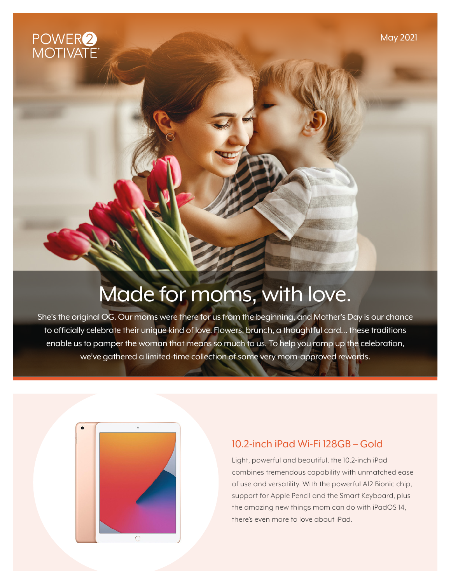

# Made for moms, with love.

She's the original OG. Our moms were there for us from the beginning, and Mother's Day is our chance to officially celebrate their unique kind of love. Flowers, brunch, a thoughtful card… these traditions enable us to pamper the woman that means so much to us. To help you ramp up the celebration, we've gathered a limited-time collection of some very mom-approved rewards.



#### 10.2-inch iPad Wi-Fi 128GB – Gold

Light, powerful and beautiful, the 10.2-inch iPad combines tremendous capability with unmatched ease of use and versatility. With the powerful A12 Bionic chip, support for Apple Pencil and the Smart Keyboard, plus the amazing new things mom can do with iPadOS 14, there's even more to love about iPad.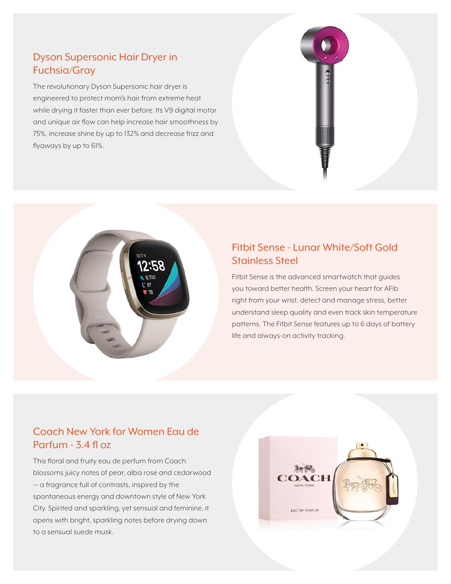### Dyson Supersonic Hair Dryer in Fuchsia/Gray

The revolutionary Dyson Supersonic hair dryer is engineered to protect mom's hair from extreme heat while drying it faster than ever before. Its V9 digital motor and unique air flow can help increase hair smoothness by 75%, increase shine by up to 132% and decrease frizz and flyaways by up to 61%.





## Fitbit Sense - Lunar White/Soft Gold Stainless Steel

Fitbit Sense is the advanced smartwatch that guides you toward better health. Screen your heart for AFib right from your wrist, detect and manage stress, better understand sleep quality and even track skin temperature patterns. The Fitbit Sense features up to 6 days of battery life and always-on activity tracking.

#### Coach New York for Women Eau de Parfum - 3.4 fl oz

This floral and fruity eau de perfum from Coach blossoms juicy notes of pear, alba rose and cedarwood — a fragrance full of contrasts, inspired by the spontaneous energy and downtown style of New York City. Spirited and sparkling, yet sensual and feminine, it opens with bright, sparkling notes before drying down to a sensual suede musk.